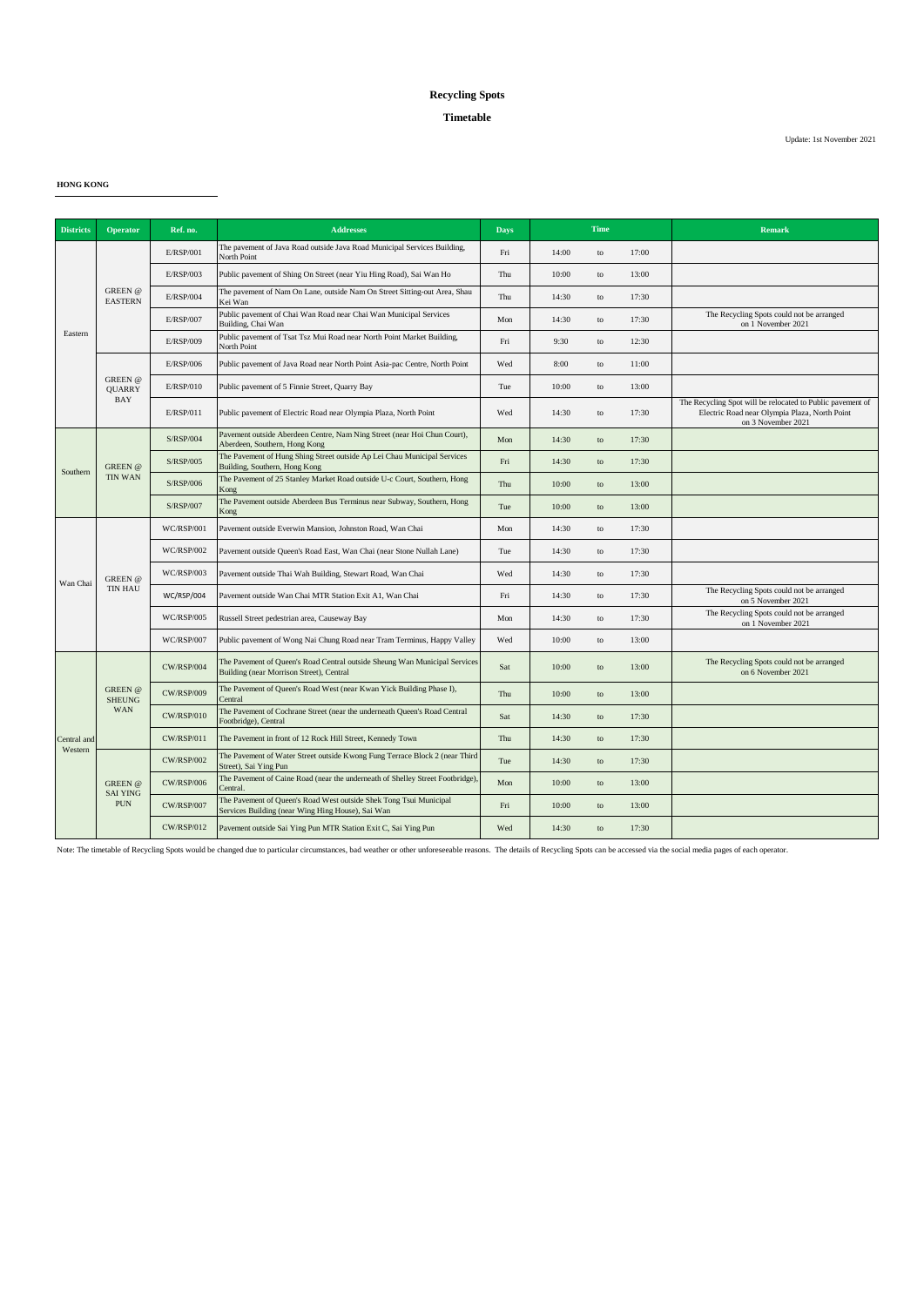### **Timetable**

Update: 1st November 2021

**HONG KONG**

| <b>Districts</b>       | <b>Operator</b>                                 | Ref. no.          | <b>Addresses</b>                                                                                                        | <b>Days</b> | <b>Time</b> |    |       | Remark                                                                                                                            |
|------------------------|-------------------------------------------------|-------------------|-------------------------------------------------------------------------------------------------------------------------|-------------|-------------|----|-------|-----------------------------------------------------------------------------------------------------------------------------------|
|                        | <b>GREEN</b> @<br><b>EASTERN</b>                | E/RSP/001         | The pavement of Java Road outside Java Road Municipal Services Building,<br>North Point                                 | Fri         | 14:00       | to | 17:00 |                                                                                                                                   |
|                        |                                                 | E/RSP/003         | Public pavement of Shing On Street (near Yiu Hing Road), Sai Wan Ho                                                     | Thu         | 10:00       | to | 13:00 |                                                                                                                                   |
|                        |                                                 | <b>E/RSP/004</b>  | The pavement of Nam On Lane, outside Nam On Street Sitting-out Area, Shau<br>Kei Wan                                    | Thu         | 14:30       | to | 17:30 |                                                                                                                                   |
|                        |                                                 | <b>E/RSP/007</b>  | Public pavement of Chai Wan Road near Chai Wan Municipal Services<br>Building, Chai Wan                                 | Mon         | 14:30       | to | 17:30 | The Recycling Spots could not be arranged<br>on 1 November 2021                                                                   |
| Eastern                |                                                 | E/RSP/009         | Public pavement of Tsat Tsz Mui Road near North Point Market Building,<br>North Point                                   | Fri         | 9:30        | to | 12:30 |                                                                                                                                   |
|                        |                                                 | E/RSP/006         | Public pavement of Java Road near North Point Asia-pac Centre, North Point                                              | Wed         | 8:00        | to | 11:00 |                                                                                                                                   |
|                        | GREEN @<br><b>QUARRY</b>                        | E/RSP/010         | Public pavement of 5 Finnie Street, Quarry Bay                                                                          | Tue         | 10:00       | to | 13:00 |                                                                                                                                   |
|                        | <b>BAY</b>                                      | E/RSP/011         | Public pavement of Electric Road near Olympia Plaza, North Point                                                        | Wed         | 14:30       | to | 17:30 | The Recycling Spot will be relocated to Public pavement of<br>Electric Road near Olympia Plaza, North Point<br>on 3 November 2021 |
|                        |                                                 | <b>S/RSP/004</b>  | Pavement outside Aberdeen Centre, Nam Ning Street (near Hoi Chun Court),<br>Aberdeen, Southern, Hong Kong               | Mon         | 14:30       | to | 17:30 |                                                                                                                                   |
|                        | <b>GREEN</b> @                                  | S/RSP/005         | The Pavement of Hung Shing Street outside Ap Lei Chau Municipal Services<br>Building, Southern, Hong Kong               | Fri         | 14:30       | to | 17:30 |                                                                                                                                   |
| Southern               | <b>TIN WAN</b>                                  | S/RSP/006         | The Pavement of 25 Stanley Market Road outside U-c Court, Southern, Hong<br>Kong                                        | Thu         | 10:00       | to | 13:00 |                                                                                                                                   |
|                        |                                                 | S/RSP/007         | The Pavement outside Aberdeen Bus Terminus near Subway, Southern, Hong<br>Kong                                          | Tue         | 10:00       | to | 13:00 |                                                                                                                                   |
|                        | GREEN @<br><b>TIN HAU</b>                       | <b>WC/RSP/001</b> | Pavement outside Everwin Mansion, Johnston Road, Wan Chai                                                               | Mon         | 14:30       | to | 17:30 |                                                                                                                                   |
|                        |                                                 | <b>WC/RSP/002</b> | Pavement outside Queen's Road East, Wan Chai (near Stone Nullah Lane)                                                   | Tue         | 14:30       | to | 17:30 |                                                                                                                                   |
| Wan Chai               |                                                 | WC/RSP/003        | Pavement outside Thai Wah Building, Stewart Road, Wan Chai                                                              | Wed         | 14:30       | to | 17:30 |                                                                                                                                   |
|                        |                                                 | WC/RSP/004        | Pavement outside Wan Chai MTR Station Exit A1, Wan Chai                                                                 | Fri         | 14:30       | to | 17:30 | The Recycling Spots could not be arranged<br>on 5 November 2021                                                                   |
|                        |                                                 | WC/RSP/005        | Russell Street pedestrian area, Causeway Bay                                                                            | Mon         | 14:30       | to | 17:30 | The Recycling Spots could not be arranged<br>on 1 November 2021                                                                   |
|                        |                                                 | WC/RSP/007        | Public pavement of Wong Nai Chung Road near Tram Terminus, Happy Valley                                                 | Wed         | 10:00       | to | 13:00 |                                                                                                                                   |
|                        |                                                 | <b>CW/RSP/004</b> | The Pavement of Queen's Road Central outside Sheung Wan Municipal Services<br>Building (near Morrison Street), Central  | Sat         | 10:00       | to | 13:00 | The Recycling Spots could not be arranged<br>on 6 November 2021                                                                   |
|                        | <b>GREEN</b> @<br><b>SHEUNG</b>                 | <b>CW/RSP/009</b> | The Pavement of Queen's Road West (near Kwan Yick Building Phase I),<br>Central                                         | Thu         | 10:00       | to | 13:00 |                                                                                                                                   |
|                        | <b>WAN</b>                                      | <b>CW/RSP/010</b> | The Pavement of Cochrane Street (near the underneath Queen's Road Central<br>Footbridge), Central                       | Sat         | 14:30       | to | 17:30 |                                                                                                                                   |
| Central and<br>Western |                                                 | <b>CW/RSP/011</b> | The Pavement in front of 12 Rock Hill Street, Kennedy Town                                                              | Thu         | 14:30       | to | 17:30 |                                                                                                                                   |
|                        |                                                 | <b>CW/RSP/002</b> | The Pavement of Water Street outside Kwong Fung Terrace Block 2 (near Third<br>Street), Sai Ying Pun                    | Tue         | 14:30       | to | 17:30 |                                                                                                                                   |
|                        | <b>GREEN</b> @<br><b>SAI YING</b><br><b>PUN</b> | <b>CW/RSP/006</b> | The Pavement of Caine Road (near the underneath of Shelley Street Footbridge),<br>Central.                              | Mon         | 10:00       | to | 13:00 |                                                                                                                                   |
|                        |                                                 | <b>CW/RSP/007</b> | The Pavement of Queen's Road West outside Shek Tong Tsui Municipal<br>Services Building (near Wing Hing House), Sai Wan | Fri         | 10:00       | to | 13:00 |                                                                                                                                   |
|                        |                                                 | <b>CW/RSP/012</b> | Pavement outside Sai Ying Pun MTR Station Exit C, Sai Ying Pun                                                          | Wed         | 14:30       | to | 17:30 |                                                                                                                                   |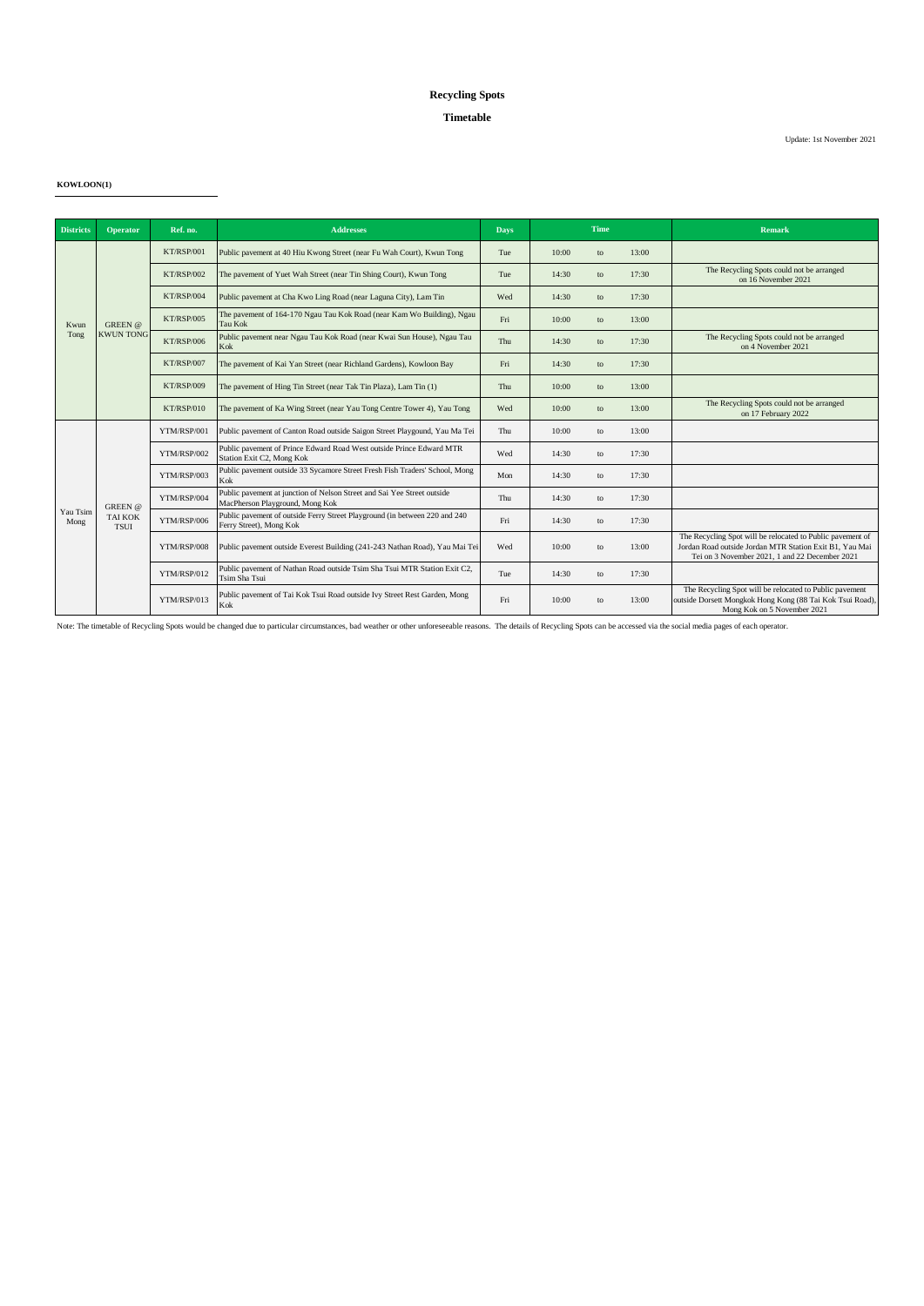### **Timetable**

Update: 1st November 2021

**KOWLOON(1)**

| <b>Districts</b> | <b>Operator</b>                          | Ref. no.          | <b>Addresses</b>                                                                                           | <b>Days</b> | Time  |    |       | <b>Remark</b>                                                                                                                                                           |
|------------------|------------------------------------------|-------------------|------------------------------------------------------------------------------------------------------------|-------------|-------|----|-------|-------------------------------------------------------------------------------------------------------------------------------------------------------------------------|
|                  |                                          |                   |                                                                                                            |             |       |    |       |                                                                                                                                                                         |
| Kwun<br>Tong     | <b>GREEN</b> @<br><b>KWUN TONG</b>       | KT/RSP/001        | Public pavement at 40 Hiu Kwong Street (near Fu Wah Court), Kwun Tong                                      | Tue         | 10:00 | to | 13:00 |                                                                                                                                                                         |
|                  |                                          | <b>KT/RSP/002</b> | The pavement of Yuet Wah Street (near Tin Shing Court), Kwun Tong                                          | Tue         | 14:30 | to | 17:30 | The Recycling Spots could not be arranged<br>on 16 November 2021                                                                                                        |
|                  |                                          | KT/RSP/004        | Public pavement at Cha Kwo Ling Road (near Laguna City), Lam Tin                                           | Wed         | 14:30 | to | 17:30 |                                                                                                                                                                         |
|                  |                                          | KT/RSP/005        | The pavement of 164-170 Ngau Tau Kok Road (near Kam Wo Building), Ngau<br><b>Tau Kok</b>                   | Fri         | 10:00 | to | 13:00 |                                                                                                                                                                         |
|                  |                                          | <b>KT/RSP/006</b> | Public pavement near Ngau Tau Kok Road (near Kwai Sun House), Ngau Tau<br>Kok                              | Thu         | 14:30 | to | 17:30 | The Recycling Spots could not be arranged<br>on 4 November 2021                                                                                                         |
|                  |                                          | KT/RSP/007        | The pavement of Kai Yan Street (near Richland Gardens), Kowloon Bay                                        | Fri         | 14:30 | to | 17:30 |                                                                                                                                                                         |
|                  |                                          | KT/RSP/009        | The pavement of Hing Tin Street (near Tak Tin Plaza), Lam Tin (1)                                          | Thu         | 10:00 | to | 13:00 |                                                                                                                                                                         |
|                  |                                          | KT/RSP/010        | The pavement of Ka Wing Street (near Yau Tong Centre Tower 4), Yau Tong                                    | Wed         | 10:00 | to | 13:00 | The Recycling Spots could not be arranged<br>on 17 February 2022                                                                                                        |
|                  | GREEN @<br><b>TAI KOK</b><br><b>TSUI</b> | YTM/RSP/001       | Public pavement of Canton Road outside Saigon Street Playgound, Yau Ma Tei                                 | Thu         | 10:00 | to | 13:00 |                                                                                                                                                                         |
|                  |                                          | YTM/RSP/002       | Public pavement of Prince Edward Road West outside Prince Edward MTR<br>Station Exit C2, Mong Kok          | Wed         | 14:30 | to | 17:30 |                                                                                                                                                                         |
|                  |                                          | YTM/RSP/003       | Public pavement outside 33 Sycamore Street Fresh Fish Traders' School, Mong<br>Kok                         | Mon         | 14:30 | to | 17:30 |                                                                                                                                                                         |
|                  |                                          | YTM/RSP/004       | Public pavement at junction of Nelson Street and Sai Yee Street outside<br>MacPherson Playground, Mong Kok | Thu         | 14:30 | to | 17:30 |                                                                                                                                                                         |
| Yau Tsim<br>Mong |                                          | YTM/RSP/006       | Public pavement of outside Ferry Street Playground (in between 220 and 240<br>Ferry Street), Mong Kok      | Fri         | 14:30 | to | 17:30 |                                                                                                                                                                         |
|                  |                                          | YTM/RSP/008       | Public pavement outside Everest Building (241-243 Nathan Road), Yau Mai Tei                                | Wed         | 10:00 | to | 13:00 | The Recycling Spot will be relocated to Public pavement of<br>Jordan Road outside Jordan MTR Station Exit B1, Yau Mai<br>Tei on 3 November 2021, 1 and 22 December 2021 |
|                  |                                          | YTM/RSP/012       | Public pavement of Nathan Road outside Tsim Sha Tsui MTR Station Exit C2,<br>Tsim Sha Tsui                 | Tue         | 14:30 | to | 17:30 |                                                                                                                                                                         |
|                  |                                          | YTM/RSP/013       | Public pavement of Tai Kok Tsui Road outside Ivy Street Rest Garden, Mong<br>Kok                           | Fri         | 10:00 | to | 13:00 | The Recycling Spot will be relocated to Public pavement<br>outside Dorsett Mongkok Hong Kong (88 Tai Kok Tsui Road),<br>Mong Kok on 5 November 2021                     |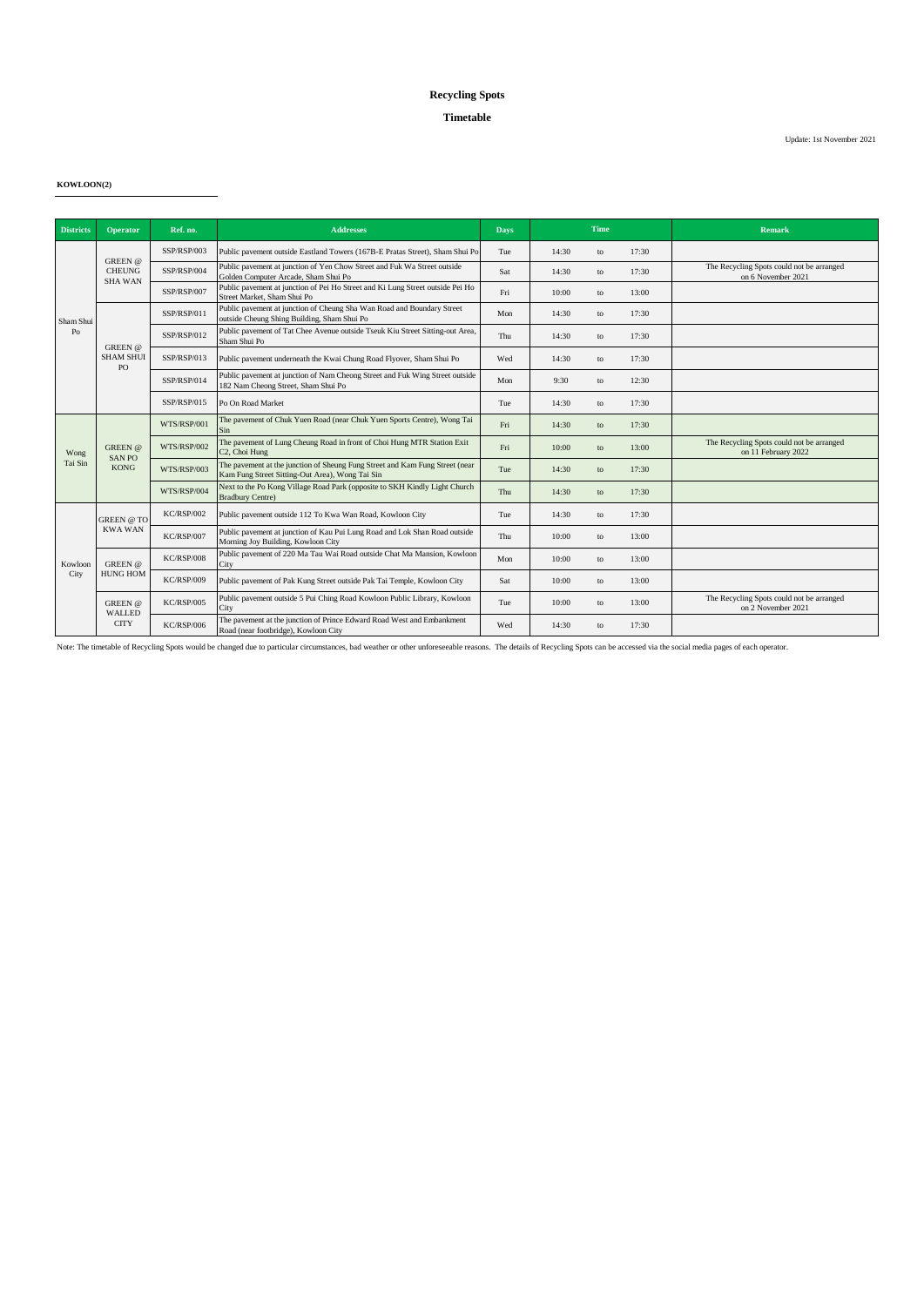### **Timetable**

Update: 1st November 2021

**KOWLOON(2)**

| <b>Districts</b> | Operator                                          | Ref. no.    | <b>Addresses</b>                                                                                                                | <b>Days</b> |       | <b>Time</b> |       | <b>Remark</b>                                                    |
|------------------|---------------------------------------------------|-------------|---------------------------------------------------------------------------------------------------------------------------------|-------------|-------|-------------|-------|------------------------------------------------------------------|
|                  | <b>GREEN</b> @<br><b>CHEUNG</b><br><b>SHA WAN</b> | SSP/RSP/003 | Public pavement outside Eastland Towers (167B-E Pratas Street), Sham Shui Po                                                    | Tue         | 14:30 | to          | 17:30 |                                                                  |
|                  |                                                   | SSP/RSP/004 | Public pavement at junction of Yen Chow Street and Fuk Wa Street outside<br>Golden Computer Arcade, Sham Shui Po                | Sat         | 14:30 | to          | 17:30 | The Recycling Spots could not be arranged<br>on 6 November 2021  |
|                  |                                                   | SSP/RSP/007 | Public pavement at junction of Pei Ho Street and Ki Lung Street outside Pei Ho<br>Street Market, Sham Shui Po                   | Fri         | 10:00 | to          | 13:00 |                                                                  |
| Sham Shui        |                                                   | SSP/RSP/011 | Public pavement at junction of Cheung Sha Wan Road and Boundary Street<br>outside Cheung Shing Building, Sham Shui Po           | Mon         | 14:30 | to          | 17:30 |                                                                  |
| Po               | $GREEN$ @                                         | SSP/RSP/012 | Public pavement of Tat Chee Avenue outside Tseuk Kiu Street Sitting-out Area,<br>Sham Shui Po                                   | Thu         | 14:30 | to          | 17:30 |                                                                  |
|                  | <b>SHAM SHUI</b><br>PO                            | SSP/RSP/013 | Public pavement underneath the Kwai Chung Road Flyover, Sham Shui Po                                                            | Wed         | 14:30 | to          | 17:30 |                                                                  |
|                  |                                                   | SSP/RSP/014 | Public pavement at junction of Nam Cheong Street and Fuk Wing Street outside<br>182 Nam Cheong Street, Sham Shui Po             | Mon         | 9:30  | to          | 12:30 |                                                                  |
|                  |                                                   | SSP/RSP/015 | Po On Road Market                                                                                                               | Tue         | 14:30 | to          | 17:30 |                                                                  |
|                  | <b>GREEN</b> @<br><b>SANPO</b><br><b>KONG</b>     | WTS/RSP/001 | The pavement of Chuk Yuen Road (near Chuk Yuen Sports Centre), Wong Tai<br><b>Sin</b>                                           | Fri         | 14:30 | to          | 17:30 |                                                                  |
| Wong             |                                                   | WTS/RSP/002 | The pavement of Lung Cheung Road in front of Choi Hung MTR Station Exit<br>C <sub>2</sub> , Choi Hung                           | Fri         | 10:00 | to          | 13:00 | The Recycling Spots could not be arranged<br>on 11 February 2022 |
| Tai Sin          |                                                   | WTS/RSP/003 | The pavement at the junction of Sheung Fung Street and Kam Fung Street (near<br>Kam Fung Street Sitting-Out Area), Wong Tai Sin | Tue         | 14:30 | to          | 17:30 |                                                                  |
|                  |                                                   | WTS/RSP/004 | Next to the Po Kong Village Road Park (opposite to SKH Kindly Light Church<br><b>Bradbury Centre)</b>                           | Thu         | 14:30 | to          | 17:30 |                                                                  |
|                  | <b>GREEN</b> @ TO<br><b>KWA WAN</b>               | KC/RSP/002  | Public pavement outside 112 To Kwa Wan Road, Kowloon City                                                                       | Tue         | 14:30 | to          | 17:30 |                                                                  |
|                  |                                                   | KC/RSP/007  | Public pavement at junction of Kau Pui Lung Road and Lok Shan Road outside<br>Morning Joy Building, Kowloon City                | Thu         | 10:00 | to          | 13:00 |                                                                  |
| Kowloon<br>City  | GREEN @<br><b>HUNG HOM</b>                        | KC/RSP/008  | Public pavement of 220 Ma Tau Wai Road outside Chat Ma Mansion, Kowloon<br>City                                                 | Mon         | 10:00 | to          | 13:00 |                                                                  |
|                  |                                                   | KC/RSP/009  | Public pavement of Pak Kung Street outside Pak Tai Temple, Kowloon City                                                         | Sat         | 10:00 | to          | 13:00 |                                                                  |
|                  | <b>GREEN</b> @<br>WALLED<br><b>CITY</b>           | KC/RSP/005  | Public pavement outside 5 Pui Ching Road Kowloon Public Library, Kowloon<br>City                                                | Tue         | 10:00 | to          | 13:00 | The Recycling Spots could not be arranged<br>on 2 November 2021  |
|                  |                                                   | KC/RSP/006  | The pavement at the junction of Prince Edward Road West and Embankment<br>Road (near footbridge), Kowloon City                  | Wed         | 14:30 | to          | 17:30 |                                                                  |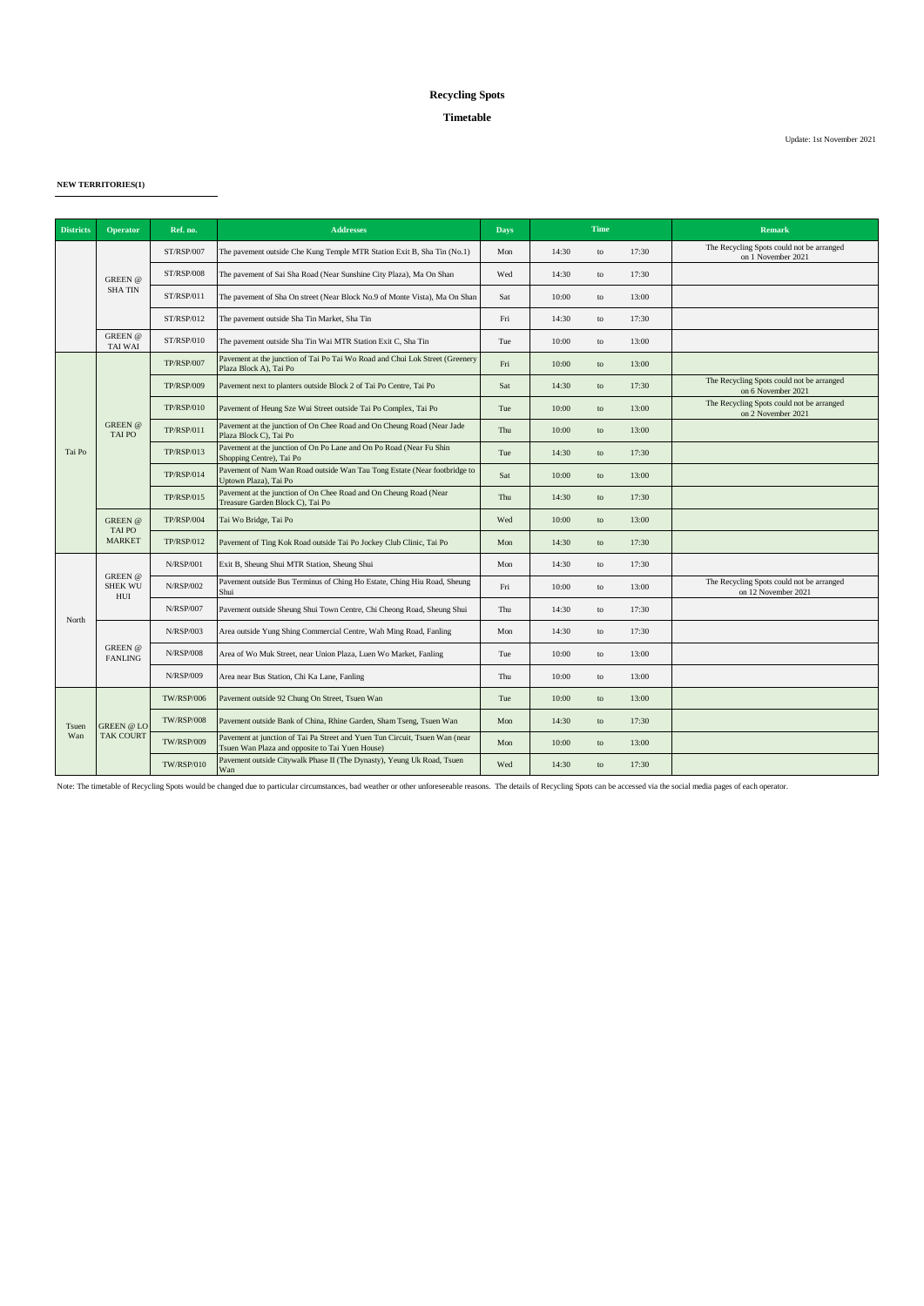### **Timetable**

Update: 1st November 2021

**NEW TERRITORIES(1)**

| <b>Districts</b> | <b>Operator</b>                                 | Ref. no.          | <b>Addresses</b>                                                                                                               | <b>Days</b> | Time  |    |       | <b>Remark</b>                                                    |
|------------------|-------------------------------------------------|-------------------|--------------------------------------------------------------------------------------------------------------------------------|-------------|-------|----|-------|------------------------------------------------------------------|
|                  | <b>GREEN</b> @<br><b>SHATIN</b>                 | ST/RSP/007        | The pavement outside Che Kung Temple MTR Station Exit B, Sha Tin (No.1)                                                        | Mon         | 14:30 | to | 17:30 | The Recycling Spots could not be arranged<br>on 1 November 2021  |
|                  |                                                 | <b>ST/RSP/008</b> | The pavement of Sai Sha Road (Near Sunshine City Plaza), Ma On Shan                                                            | Wed         | 14:30 | to | 17:30 |                                                                  |
|                  |                                                 | ST/RSP/011        | The pavement of Sha On street (Near Block No.9 of Monte Vista), Ma On Shan                                                     | Sat         | 10:00 | to | 13:00 |                                                                  |
|                  |                                                 | ST/RSP/012        | The pavement outside Sha Tin Market, Sha Tin                                                                                   | Fri         | 14:30 | to | 17:30 |                                                                  |
|                  | <b>GREEN</b> @<br><b>TAI WAI</b>                | ST/RSP/010        | The pavement outside Sha Tin Wai MTR Station Exit C, Sha Tin                                                                   | Tue         | 10:00 | to | 13:00 |                                                                  |
|                  |                                                 | <b>TP/RSP/007</b> | Pavement at the junction of Tai Po Tai Wo Road and Chui Lok Street (Greenery<br>Plaza Block A), Tai Po                         | Fri         | 10:00 | to | 13:00 |                                                                  |
|                  |                                                 | <b>TP/RSP/009</b> | Pavement next to planters outside Block 2 of Tai Po Centre, Tai Po                                                             | Sat         | 14:30 | to | 17:30 | The Recycling Spots could not be arranged<br>on 6 November 2021  |
|                  |                                                 | <b>TP/RSP/010</b> | Pavement of Heung Sze Wui Street outside Tai Po Complex, Tai Po                                                                | Tue         | 10:00 | to | 13:00 | The Recycling Spots could not be arranged<br>on 2 November 2021  |
|                  | <b>GREEN</b> @<br>TAI PO                        | <b>TP/RSP/011</b> | Pavement at the junction of On Chee Road and On Cheung Road (Near Jade<br>Plaza Block C), Tai Po                               | Thu         | 10:00 | to | 13:00 |                                                                  |
| Tai Po           |                                                 | <b>TP/RSP/013</b> | Pavement at the junction of On Po Lane and On Po Road (Near Fu Shin<br>Shopping Centre), Tai Po                                | Tue         | 14:30 | to | 17:30 |                                                                  |
|                  |                                                 | <b>TP/RSP/014</b> | Pavement of Nam Wan Road outside Wan Tau Tong Estate (Near footbridge to<br>Uptown Plaza), Tai Po                              | Sat         | 10:00 | to | 13:00 |                                                                  |
|                  |                                                 | <b>TP/RSP/015</b> | Pavement at the junction of On Chee Road and On Cheung Road (Near<br>Treasure Garden Block C), Tai Po                          | Thu         | 14:30 | to | 17:30 |                                                                  |
|                  | <b>GREEN</b> @<br><b>TAIPO</b><br><b>MARKET</b> | <b>TP/RSP/004</b> | Tai Wo Bridge, Tai Po                                                                                                          | Wed         | 10:00 | to | 13:00 |                                                                  |
|                  |                                                 | <b>TP/RSP/012</b> | Pavement of Ting Kok Road outside Tai Po Jockey Club Clinic, Tai Po                                                            | Mon         | 14:30 | to | 17:30 |                                                                  |
|                  | <b>GREEN</b> @<br><b>SHEK WU</b><br>HUI         | <b>N/RSP/001</b>  | Exit B, Sheung Shui MTR Station, Sheung Shui                                                                                   | Mon         | 14:30 | to | 17:30 |                                                                  |
|                  |                                                 | <b>N/RSP/002</b>  | Pavement outside Bus Terminus of Ching Ho Estate, Ching Hiu Road, Sheung<br>Shui                                               | Fri         | 10:00 | to | 13:00 | The Recycling Spots could not be arranged<br>on 12 November 2021 |
| North            |                                                 | <b>N/RSP/007</b>  | Pavement outside Sheung Shui Town Centre, Chi Cheong Road, Sheung Shui                                                         | Thu         | 14:30 | to | 17:30 |                                                                  |
|                  | <b>GREEN</b> @<br><b>FANLING</b>                | N/RSP/003         | Area outside Yung Shing Commercial Centre, Wah Ming Road, Fanling                                                              | Mon         | 14:30 | to | 17:30 |                                                                  |
|                  |                                                 | <b>N/RSP/008</b>  | Area of Wo Muk Street, near Union Plaza, Luen Wo Market, Fanling                                                               | Tue         | 10:00 | to | 13:00 |                                                                  |
|                  |                                                 | <b>N/RSP/009</b>  | Area near Bus Station, Chi Ka Lane, Fanling                                                                                    | Thu         | 10:00 | to | 13:00 |                                                                  |
| Tsuen<br>Wan     | <b>GREEN</b> @ LO<br><b>TAK COURT</b>           | <b>TW/RSP/006</b> | Pavement outside 92 Chung On Street, Tsuen Wan                                                                                 | Tue         | 10:00 | to | 13:00 |                                                                  |
|                  |                                                 | <b>TW/RSP/008</b> | Pavement outside Bank of China, Rhine Garden, Sham Tseng, Tsuen Wan                                                            | Mon         | 14:30 | to | 17:30 |                                                                  |
|                  |                                                 | <b>TW/RSP/009</b> | Pavement at junction of Tai Pa Street and Yuen Tun Circuit, Tsuen Wan (near<br>Tsuen Wan Plaza and opposite to Tai Yuen House) | Mon         | 10:00 | to | 13:00 |                                                                  |
|                  |                                                 | <b>TW/RSP/010</b> | Pavement outside Citywalk Phase II (The Dynasty), Yeung Uk Road, Tsuen<br>Wan                                                  | Wed         | 14:30 | to | 17:30 |                                                                  |